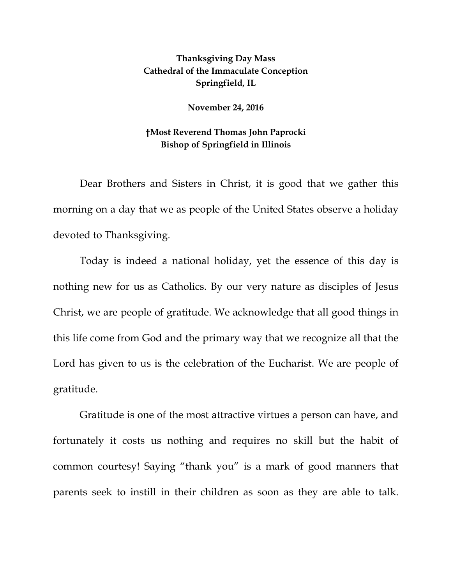## **Thanksgiving Day Mass Cathedral of the Immaculate Conception Springfield, IL**

## **November 24, 2016**

## **†Most Reverend Thomas John Paprocki Bishop of Springfield in Illinois**

Dear Brothers and Sisters in Christ, it is good that we gather this morning on a day that we as people of the United States observe a holiday devoted to Thanksgiving.

Today is indeed a national holiday, yet the essence of this day is nothing new for us as Catholics. By our very nature as disciples of Jesus Christ, we are people of gratitude. We acknowledge that all good things in this life come from God and the primary way that we recognize all that the Lord has given to us is the celebration of the Eucharist. We are people of gratitude.

Gratitude is one of the most attractive virtues a person can have, and fortunately it costs us nothing and requires no skill but the habit of common courtesy! Saying "thank you" is a mark of good manners that parents seek to instill in their children as soon as they are able to talk.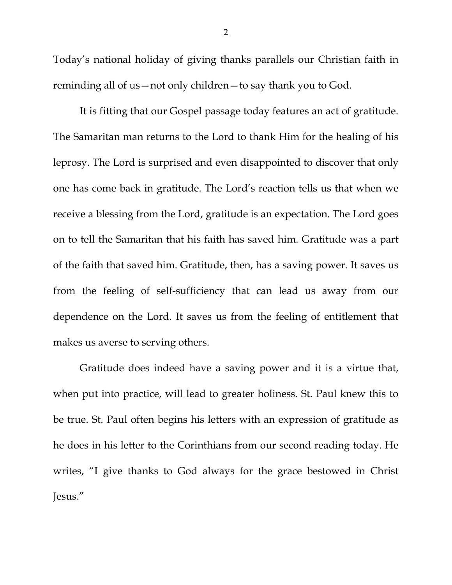Today's national holiday of giving thanks parallels our Christian faith in reminding all of us—not only children—to say thank you to God.

It is fitting that our Gospel passage today features an act of gratitude. The Samaritan man returns to the Lord to thank Him for the healing of his leprosy. The Lord is surprised and even disappointed to discover that only one has come back in gratitude. The Lord's reaction tells us that when we receive a blessing from the Lord, gratitude is an expectation. The Lord goes on to tell the Samaritan that his faith has saved him. Gratitude was a part of the faith that saved him. Gratitude, then, has a saving power. It saves us from the feeling of self-sufficiency that can lead us away from our dependence on the Lord. It saves us from the feeling of entitlement that makes us averse to serving others.

Gratitude does indeed have a saving power and it is a virtue that, when put into practice, will lead to greater holiness. St. Paul knew this to be true. St. Paul often begins his letters with an expression of gratitude as he does in his letter to the Corinthians from our second reading today. He writes, "I give thanks to God always for the grace bestowed in Christ Jesus."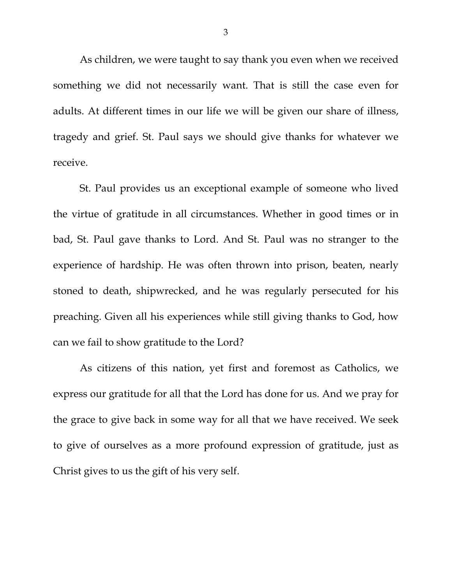As children, we were taught to say thank you even when we received something we did not necessarily want. That is still the case even for adults. At different times in our life we will be given our share of illness, tragedy and grief. St. Paul says we should give thanks for whatever we receive.

St. Paul provides us an exceptional example of someone who lived the virtue of gratitude in all circumstances. Whether in good times or in bad, St. Paul gave thanks to Lord. And St. Paul was no stranger to the experience of hardship. He was often thrown into prison, beaten, nearly stoned to death, shipwrecked, and he was regularly persecuted for his preaching. Given all his experiences while still giving thanks to God, how can we fail to show gratitude to the Lord?

As citizens of this nation, yet first and foremost as Catholics, we express our gratitude for all that the Lord has done for us. And we pray for the grace to give back in some way for all that we have received. We seek to give of ourselves as a more profound expression of gratitude, just as Christ gives to us the gift of his very self.

3